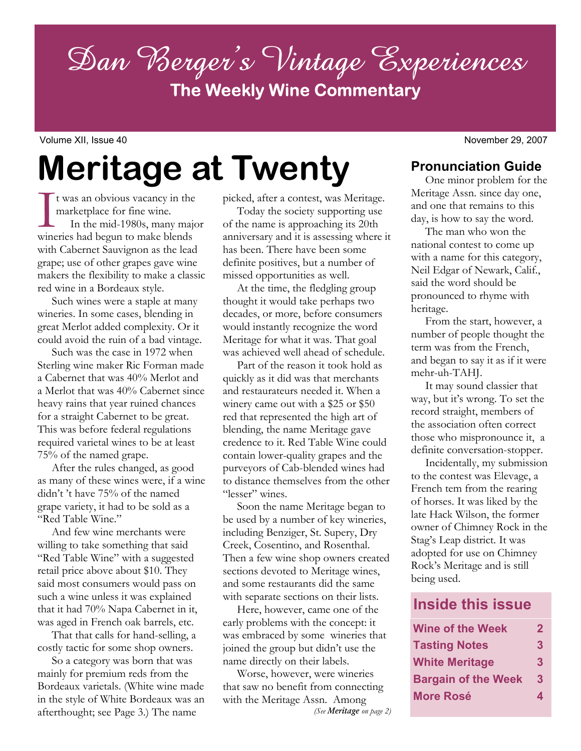Dan Berger's Vintage Experiences **The Weekly Wine Commentary**

Volume XII, Issue 40 November 29, 2007

**Meritage at Twenty** 

It was an obvious vacancy in the<br>marketplace for fine wine.<br>In the mid-1980s, many majo<br>wineries had begun to make blends t was an obvious vacancy in the marketplace for fine wine. In the mid-1980s, many major with Cabernet Sauvignon as the lead grape; use of other grapes gave wine makers the flexibility to make a classic red wine in a Bordeaux style.

 Such wines were a staple at many wineries. In some cases, blending in great Merlot added complexity. Or it could avoid the ruin of a bad vintage.

 Such was the case in 1972 when Sterling wine maker Ric Forman made a Cabernet that was 40% Merlot and a Merlot that was 40% Cabernet since heavy rains that year ruined chances for a straight Cabernet to be great. This was before federal regulations required varietal wines to be at least 75% of the named grape.

 After the rules changed, as good as many of these wines were, if a wine didn't 't have 75% of the named grape variety, it had to be sold as a "Red Table Wine."

 And few wine merchants were willing to take something that said "Red Table Wine" with a suggested retail price above about \$10. They said most consumers would pass on such a wine unless it was explained that it had 70% Napa Cabernet in it, was aged in French oak barrels, etc.

 That that calls for hand-selling, a costly tactic for some shop owners.

 So a category was born that was mainly for premium reds from the Bordeaux varietals. (White wine made in the style of White Bordeaux was an afterthought; see Page 3.) The name

picked, after a contest, was Meritage.

 Today the society supporting use of the name is approaching its 20th anniversary and it is assessing where it has been. There have been some definite positives, but a number of missed opportunities as well.

 At the time, the fledgling group thought it would take perhaps two decades, or more, before consumers would instantly recognize the word Meritage for what it was. That goal was achieved well ahead of schedule.

 Part of the reason it took hold as quickly as it did was that merchants and restaurateurs needed it. When a winery came out with a \$25 or \$50 red that represented the high art of blending, the name Meritage gave credence to it. Red Table Wine could contain lower-quality grapes and the purveyors of Cab-blended wines had to distance themselves from the other "lesser" wines.

 Soon the name Meritage began to be used by a number of key wineries, including Benziger, St. Supery, Dry Creek, Cosentino, and Rosenthal. Then a few wine shop owners created sections devoted to Meritage wines, and some restaurants did the same with separate sections on their lists.

 Here, however, came one of the early problems with the concept: it was embraced by some wineries that joined the group but didn't use the name directly on their labels.

 Worse, however, were wineries that saw no benefit from connecting with the Meritage Assn. Among *(See Meritage on page 2)* 

 One minor problem for the Meritage Assn. since day one, and one that remains to this day, is how to say the word.

 The man who won the national contest to come up with a name for this category, Neil Edgar of Newark, Calif., said the word should be pronounced to rhyme with heritage.

 From the start, however, a number of people thought the term was from the French, and began to say it as if it were mehr-uh-TAHJ.

 It may sound classier that way, but it's wrong. To set the record straight, members of the association often correct those who mispronounce it, a definite conversation-stopper.

 Incidentally, my submission to the contest was Elevage, a French tem from the rearing of horses. It was liked by the late Hack Wilson, the former owner of Chimney Rock in the Stag's Leap district. It was adopted for use on Chimney Rock's Meritage and is still being used.

# **Inside this issue**

| <b>Wine of the Week</b>    | 2 |
|----------------------------|---|
| <b>Tasting Notes</b>       | 3 |
| <b>White Meritage</b>      | 3 |
| <b>Bargain of the Week</b> | 3 |
| <b>More Rosé</b>           | 4 |

**Pronunciation Guide**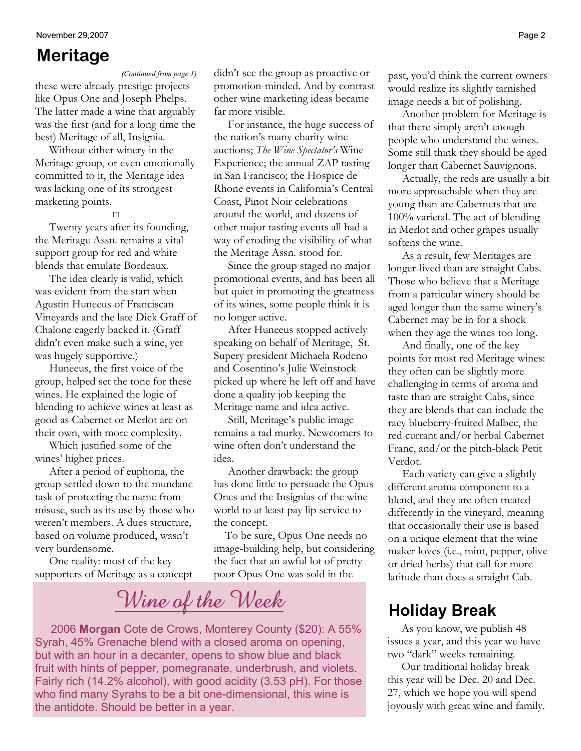## **Meritage**

*(Continued from page 1)* 

these were already prestige projects like Opus One and Joseph Phelps. The latter made a wine that arguably was the first (and for a long time the best) Meritage of all, Insignia.

 Without either winery in the Meritage group, or even emotionally committed to it, the Meritage idea was lacking one of its strongest marketing points.

**□**

 Twenty years after its founding, the Meritage Assn. remains a vital support group for red and white blends that emulate Bordeaux.

 The idea clearly is valid, which was evident from the start when Agustin Huneeus of Franciscan Vineyards and the late Dick Graff of Chalone eagerly backed it. (Graff didn't even make such a wine, yet was hugely supportive.)

 Huneeus, the first voice of the group, helped set the tone for these wines. He explained the logic of blending to achieve wines at least as good as Cabernet or Merlot are on their own, with more complexity.

 Which justified some of the wines' higher prices.

 After a period of euphoria, the group settled down to the mundane task of protecting the name from misuse, such as its use by those who weren't members. A dues structure, based on volume produced, wasn't very burdensome.

 One reality: most of the key supporters of Meritage as a concept didn't see the group as proactive or promotion-minded. And by contrast other wine marketing ideas became far more visible.

 For instance, the huge success of the nation's many charity wine auctions; *The Wine Spectator's* Wine Experience; the annual ZAP tasting in San Francisco; the Hospice de Rhone events in California's Central Coast, Pinot Noir celebrations around the world, and dozens of other major tasting events all had a way of eroding the visibility of what the Meritage Assn. stood for.

 Since the group staged no major promotional events, and has been all but quiet in promoting the greatness of its wines, some people think it is no longer active.

 After Huneeus stopped actively speaking on behalf of Meritage, St. Supery president Michaela Rodeno and Cosentino's Julie Weinstock picked up where he left off and have done a quality job keeping the Meritage name and idea active.

 Still, Meritage's public image remains a tad murky. Newcomers to wine often don't understand the idea.

 Another drawback: the group has done little to persuade the Opus Ones and the Insignias of the wine world to at least pay lip service to the concept.

 To be sure, Opus One needs no image-building help, but considering the fact that an awful lot of pretty poor Opus One was sold in the

# **Wine of the Week Holiday Break**

 2006 **Morgan** Cote de Crows, Monterey County (\$20): A 55% Syrah, 45% Grenache blend with a closed aroma on opening, but with an hour in a decanter, opens to show blue and black fruit with hints of pepper, pomegranate, underbrush, and violets. Fairly rich (14.2% alcohol), with good acidity (3.53 pH). For those who find many Syrahs to be a bit one-dimensional, this wine is the antidote. Should be better in a year.

past, you'd think the current owners would realize its slightly tarnished image needs a bit of polishing.

 Another problem for Meritage is that there simply aren't enough people who understand the wines. Some still think they should be aged longer than Cabernet Sauvignons.

 Actually, the reds are usually a bit more approachable when they are young than are Cabernets that are 100% varietal. The act of blending in Merlot and other grapes usually softens the wine.

 As a result, few Meritages are longer-lived than are straight Cabs. Those who believe that a Meritage from a particular winery should be aged longer than the same winery's Cabernet may be in for a shock when they age the wines too long.

 And finally, one of the key points for most red Meritage wines: they often can be slightly more challenging in terms of aroma and taste than are straight Cabs, since they are blends that can include the racy blueberry-fruited Malbec, the red currant and/or herbal Cabernet Franc, and/or the pitch-black Petit Verdot.

 Each variety can give a slightly different aroma component to a blend, and they are often treated differently in the vineyard, meaning that occasionally their use is based on a unique element that the wine maker loves (i.e., mint, pepper, olive or dried herbs) that call for more latitude than does a straight Cab.

 As you know, we publish 48 issues a year, and this year we have two "dark" weeks remaining.

 Our traditional holiday break this year will be Dec. 20 and Dec. 27, which we hope you will spend joyously with great wine and family.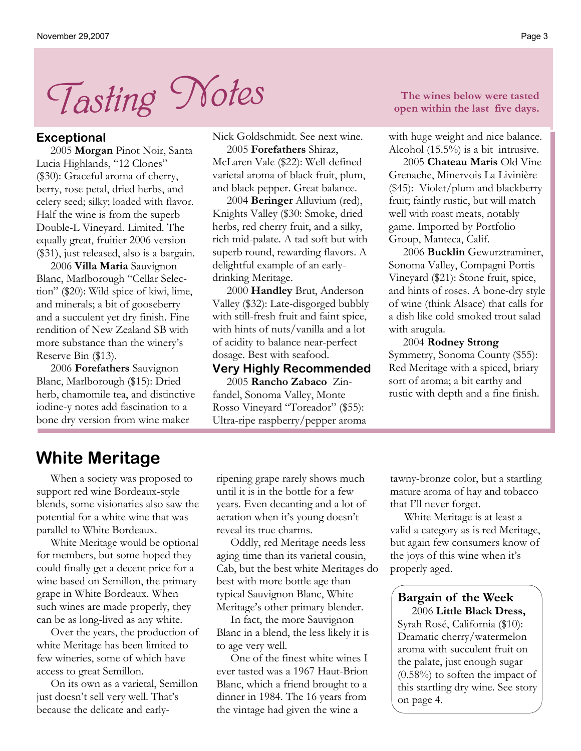

#### **Exceptional**

 2005 **Morgan** Pinot Noir, Santa Lucia Highlands, "12 Clones" (\$30): Graceful aroma of cherry, berry, rose petal, dried herbs, and celery seed; silky; loaded with flavor. Half the wine is from the superb Double-L Vineyard. Limited. The equally great, fruitier 2006 version (\$31), just released, also is a bargain.

 2006 **Villa Maria** Sauvignon Blanc, Marlborough "Cellar Selection" (\$20): Wild spice of kiwi, lime, and minerals; a bit of gooseberry and a succulent yet dry finish. Fine rendition of New Zealand SB with more substance than the winery's Reserve Bin (\$13).

 2006 **Forefathers** Sauvignon Blanc, Marlborough (\$15): Dried herb, chamomile tea, and distinctive iodine-y notes add fascination to a bone dry version from wine maker

Nick Goldschmidt. See next wine.

 2005 **Forefathers** Shiraz, McLaren Vale (\$22): Well-defined varietal aroma of black fruit, plum, and black pepper. Great balance.

 2004 **Beringer** Alluvium (red), Knights Valley (\$30: Smoke, dried herbs, red cherry fruit, and a silky, rich mid-palate. A tad soft but with superb round, rewarding flavors. A delightful example of an earlydrinking Meritage.

 2000 **Handley** Brut, Anderson Valley (\$32): Late-disgorged bubbly with still-fresh fruit and faint spice, with hints of nuts/vanilla and a lot of acidity to balance near-perfect dosage. Best with seafood.

#### **Very Highly Recommended**

 2005 **Rancho Zabaco** Zinfandel, Sonoma Valley, Monte Rosso Vineyard "Toreador" (\$55): Ultra-ripe raspberry/pepper aroma

**The wines below were tasted open within the last five days.** 

with huge weight and nice balance. Alcohol (15.5%) is a bit intrusive.

 2005 **Chateau Maris** Old Vine Grenache, Minervois La Livinière (\$45): Violet/plum and blackberry fruit; faintly rustic, but will match well with roast meats, notably game. Imported by Portfolio Group, Manteca, Calif.

 2006 **Bucklin** Gewurztraminer, Sonoma Valley, Compagni Portis Vineyard (\$21): Stone fruit, spice, and hints of roses. A bone-dry style of wine (think Alsace) that calls for a dish like cold smoked trout salad with arugula.

 2004 **Rodney Strong** Symmetry, Sonoma County (\$55): Red Meritage with a spiced, briary sort of aroma; a bit earthy and rustic with depth and a fine finish.

# **White Meritage**

 When a society was proposed to support red wine Bordeaux-style blends, some visionaries also saw the potential for a white wine that was parallel to White Bordeaux.

 White Meritage would be optional for members, but some hoped they could finally get a decent price for a wine based on Semillon, the primary grape in White Bordeaux. When such wines are made properly, they can be as long-lived as any white.

 Over the years, the production of white Meritage has been limited to few wineries, some of which have access to great Semillon.

 On its own as a varietal, Semillon just doesn't sell very well. That's because the delicate and earlyripening grape rarely shows much until it is in the bottle for a few years. Even decanting and a lot of aeration when it's young doesn't reveal its true charms.

 Oddly, red Meritage needs less aging time than its varietal cousin, Cab, but the best white Meritages do best with more bottle age than typical Sauvignon Blanc, White Meritage's other primary blender.

 In fact, the more Sauvignon Blanc in a blend, the less likely it is to age very well.

 One of the finest white wines I ever tasted was a 1967 Haut-Brion Blanc, which a friend brought to a dinner in 1984. The 16 years from the vintage had given the wine a

tawny-bronze color, but a startling mature aroma of hay and tobacco that I'll never forget.

 White Meritage is at least a valid a category as is red Meritage, but again few consumers know of the joys of this wine when it's properly aged.

### **Bargain of the Week**

 2006 **Little Black Dress,** Syrah Rosé, California (\$10): Dramatic cherry/watermelon aroma with succulent fruit on the palate, just enough sugar (0.58%) to soften the impact of this startling dry wine. See story on page 4.